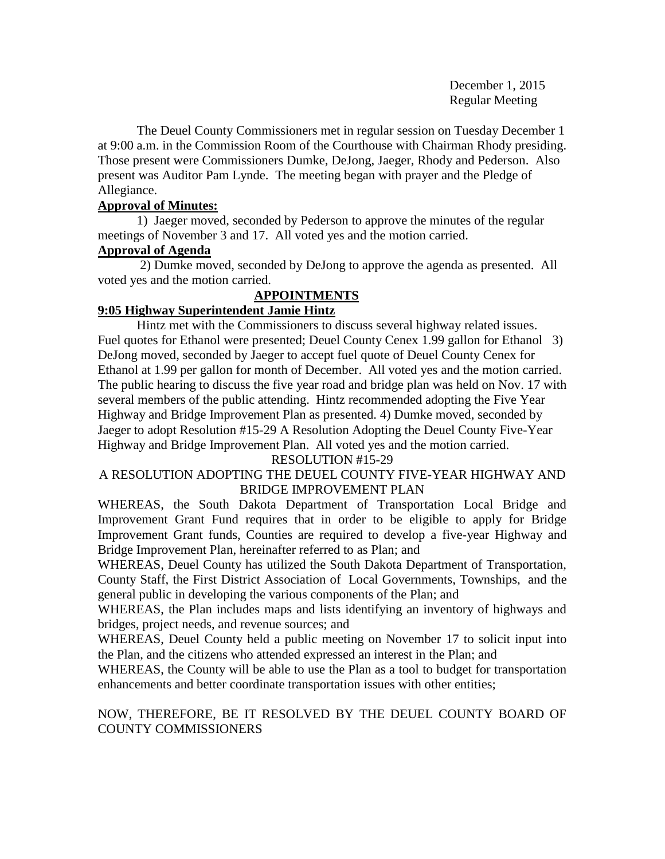December 1, 2015 Regular Meeting

The Deuel County Commissioners met in regular session on Tuesday December 1 at 9:00 a.m. in the Commission Room of the Courthouse with Chairman Rhody presiding. Those present were Commissioners Dumke, DeJong, Jaeger, Rhody and Pederson. Also present was Auditor Pam Lynde. The meeting began with prayer and the Pledge of Allegiance.

# **Approval of Minutes:**

1) Jaeger moved, seconded by Pederson to approve the minutes of the regular meetings of November 3 and 17. All voted yes and the motion carried.

# **Approval of Agenda**

2) Dumke moved, seconded by DeJong to approve the agenda as presented. All voted yes and the motion carried.

# **APPOINTMENTS**

# **9:05 Highway Superintendent Jamie Hintz**

Hintz met with the Commissioners to discuss several highway related issues. Fuel quotes for Ethanol were presented; Deuel County Cenex 1.99 gallon for Ethanol 3) DeJong moved, seconded by Jaeger to accept fuel quote of Deuel County Cenex for Ethanol at 1.99 per gallon for month of December. All voted yes and the motion carried. The public hearing to discuss the five year road and bridge plan was held on Nov. 17 with several members of the public attending. Hintz recommended adopting the Five Year Highway and Bridge Improvement Plan as presented. 4) Dumke moved, seconded by Jaeger to adopt Resolution #15-29 A Resolution Adopting the Deuel County Five-Year Highway and Bridge Improvement Plan. All voted yes and the motion carried.

## RESOLUTION #15-29

# A RESOLUTION ADOPTING THE DEUEL COUNTY FIVE-YEAR HIGHWAY AND BRIDGE IMPROVEMENT PLAN

WHEREAS, the South Dakota Department of Transportation Local Bridge and Improvement Grant Fund requires that in order to be eligible to apply for Bridge Improvement Grant funds, Counties are required to develop a five-year Highway and Bridge Improvement Plan, hereinafter referred to as Plan; and

WHEREAS, Deuel County has utilized the South Dakota Department of Transportation, County Staff, the First District Association of Local Governments, Townships, and the general public in developing the various components of the Plan; and

WHEREAS, the Plan includes maps and lists identifying an inventory of highways and bridges, project needs, and revenue sources; and

WHEREAS, Deuel County held a public meeting on November 17 to solicit input into the Plan, and the citizens who attended expressed an interest in the Plan; and

WHEREAS, the County will be able to use the Plan as a tool to budget for transportation enhancements and better coordinate transportation issues with other entities;

# NOW, THEREFORE, BE IT RESOLVED BY THE DEUEL COUNTY BOARD OF COUNTY COMMISSIONERS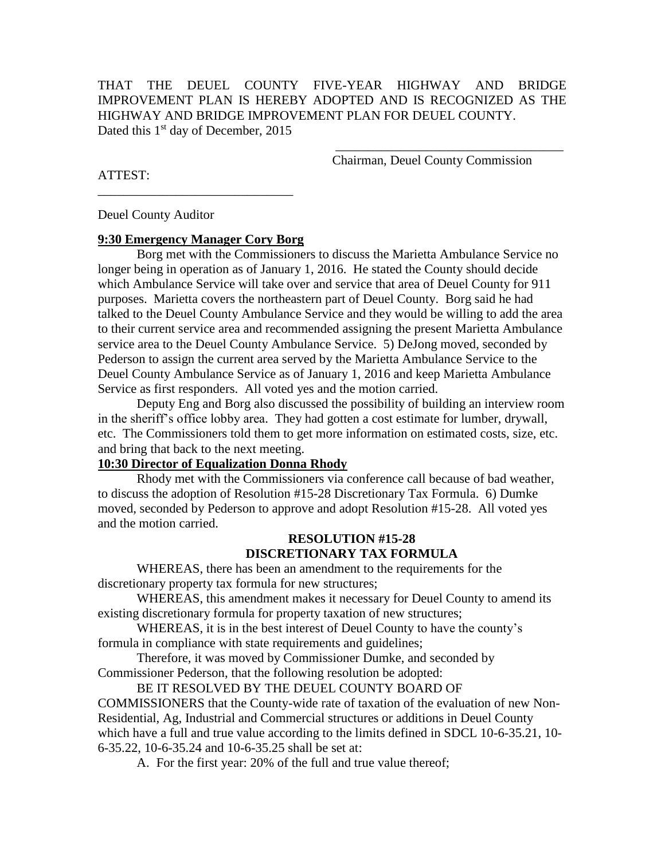THAT THE DEUEL COUNTY FIVE-YEAR HIGHWAY AND BRIDGE IMPROVEMENT PLAN IS HEREBY ADOPTED AND IS RECOGNIZED AS THE HIGHWAY AND BRIDGE IMPROVEMENT PLAN FOR DEUEL COUNTY. Dated this 1<sup>st</sup> day of December, 2015

> $\frac{1}{\sqrt{2}}$  ,  $\frac{1}{\sqrt{2}}$  ,  $\frac{1}{\sqrt{2}}$  ,  $\frac{1}{\sqrt{2}}$  ,  $\frac{1}{\sqrt{2}}$  ,  $\frac{1}{\sqrt{2}}$  ,  $\frac{1}{\sqrt{2}}$  ,  $\frac{1}{\sqrt{2}}$  ,  $\frac{1}{\sqrt{2}}$  ,  $\frac{1}{\sqrt{2}}$  ,  $\frac{1}{\sqrt{2}}$  ,  $\frac{1}{\sqrt{2}}$  ,  $\frac{1}{\sqrt{2}}$  ,  $\frac{1}{\sqrt{2}}$  ,  $\frac{1}{\sqrt{2}}$ Chairman, Deuel County Commission

ATTEST:

Deuel County Auditor

### **9:30 Emergency Manager Cory Borg**

\_\_\_\_\_\_\_\_\_\_\_\_\_\_\_\_\_\_\_\_\_\_\_\_\_\_\_\_\_\_

Borg met with the Commissioners to discuss the Marietta Ambulance Service no longer being in operation as of January 1, 2016. He stated the County should decide which Ambulance Service will take over and service that area of Deuel County for 911 purposes. Marietta covers the northeastern part of Deuel County. Borg said he had talked to the Deuel County Ambulance Service and they would be willing to add the area to their current service area and recommended assigning the present Marietta Ambulance service area to the Deuel County Ambulance Service. 5) DeJong moved, seconded by Pederson to assign the current area served by the Marietta Ambulance Service to the Deuel County Ambulance Service as of January 1, 2016 and keep Marietta Ambulance Service as first responders. All voted yes and the motion carried.

Deputy Eng and Borg also discussed the possibility of building an interview room in the sheriff's office lobby area. They had gotten a cost estimate for lumber, drywall, etc. The Commissioners told them to get more information on estimated costs, size, etc. and bring that back to the next meeting.

#### **10:30 Director of Equalization Donna Rhody**

Rhody met with the Commissioners via conference call because of bad weather, to discuss the adoption of Resolution #15-28 Discretionary Tax Formula. 6) Dumke moved, seconded by Pederson to approve and adopt Resolution #15-28. All voted yes and the motion carried.

## **RESOLUTION #15-28 DISCRETIONARY TAX FORMULA**

WHEREAS, there has been an amendment to the requirements for the discretionary property tax formula for new structures;

WHEREAS, this amendment makes it necessary for Deuel County to amend its existing discretionary formula for property taxation of new structures;

WHEREAS, it is in the best interest of Deuel County to have the county's formula in compliance with state requirements and guidelines;

Therefore, it was moved by Commissioner Dumke, and seconded by Commissioner Pederson, that the following resolution be adopted:

BE IT RESOLVED BY THE DEUEL COUNTY BOARD OF COMMISSIONERS that the County-wide rate of taxation of the evaluation of new Non-Residential, Ag, Industrial and Commercial structures or additions in Deuel County which have a full and true value according to the limits defined in SDCL 10-6-35.21, 10- 6-35.22, 10-6-35.24 and 10-6-35.25 shall be set at:

A. For the first year: 20% of the full and true value thereof;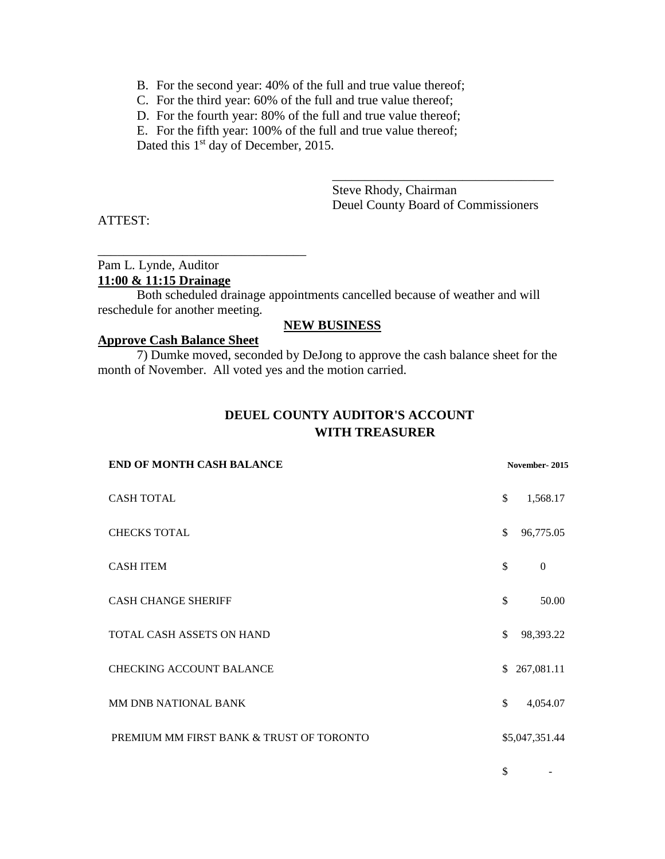- B. For the second year: 40% of the full and true value thereof;
- C. For the third year: 60% of the full and true value thereof;
- D. For the fourth year: 80% of the full and true value thereof;
- E. For the fifth year: 100% of the full and true value thereof;

Dated this 1<sup>st</sup> day of December, 2015.

Steve Rhody, Chairman Deuel County Board of Commissioners

\_\_\_\_\_\_\_\_\_\_\_\_\_\_\_\_\_\_\_\_\_\_\_\_\_\_\_\_\_\_\_\_\_\_

ATTEST:

# Pam L. Lynde, Auditor **11:00 & 11:15 Drainage**

Both scheduled drainage appointments cancelled because of weather and will reschedule for another meeting.

### **NEW BUSINESS**

#### **Approve Cash Balance Sheet**

\_\_\_\_\_\_\_\_\_\_\_\_\_\_\_\_\_\_\_\_\_\_\_\_\_\_\_\_\_\_\_\_

7) Dumke moved, seconded by DeJong to approve the cash balance sheet for the month of November. All voted yes and the motion carried.

# **DEUEL COUNTY AUDITOR'S ACCOUNT WITH TREASURER**

| November-2015 |                |
|---------------|----------------|
| \$            | 1,568.17       |
| \$            | 96,775.05      |
| \$            | $\Omega$       |
| \$            | 50.00          |
| \$            | 98,393.22      |
| \$            | 267,081.11     |
| \$            | 4,054.07       |
|               | \$5,047,351.44 |
|               |                |

 $\mathbb S$  -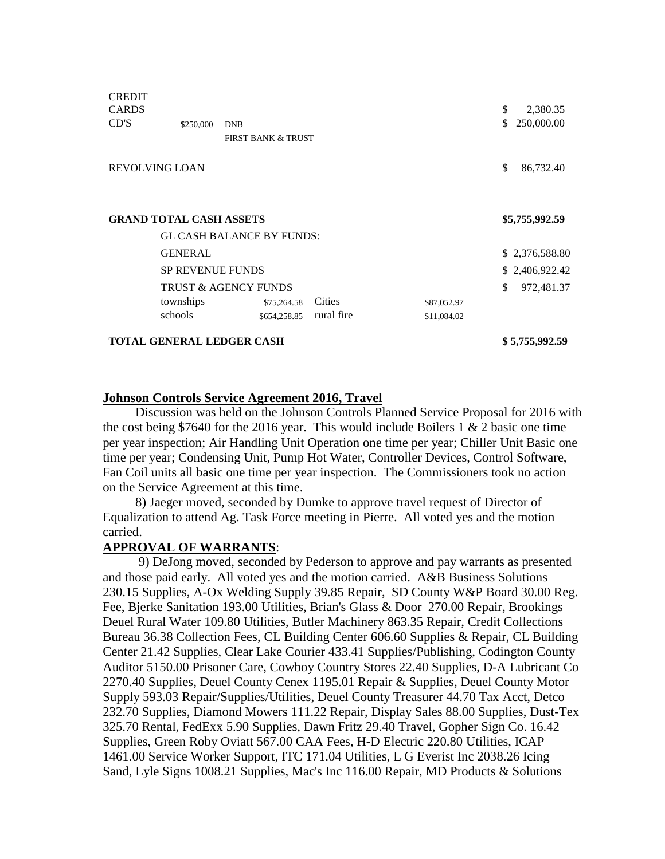| <b>CREDIT</b><br><b>CARDS</b>    |                |                                  |            |             | \$ | 2,380.35       |
|----------------------------------|----------------|----------------------------------|------------|-------------|----|----------------|
| CD'S                             | \$250,000      | <b>DNB</b>                       |            |             | \$ | 250,000.00     |
|                                  |                | <b>FIRST BANK &amp; TRUST</b>    |            |             |    |                |
|                                  |                |                                  |            |             |    |                |
| <b>REVOLVING LOAN</b>            |                |                                  |            |             |    | 86,732.40      |
|                                  |                |                                  |            |             |    |                |
| <b>GRAND TOTAL CASH ASSETS</b>   |                |                                  |            |             |    | \$5,755,992.59 |
|                                  |                | <b>GL CASH BALANCE BY FUNDS:</b> |            |             |    |                |
|                                  | <b>GENERAL</b> |                                  |            |             |    | \$2,376,588.80 |
| <b>SP REVENUE FUNDS</b>          |                |                                  |            |             |    | \$2,406,922.42 |
| <b>TRUST &amp; AGENCY FUNDS</b>  |                |                                  |            |             | \$ | 972,481.37     |
|                                  | townships      | \$75,264.58                      | Cities     | \$87,052.97 |    |                |
|                                  | schools        | \$654,258.85                     | rural fire | \$11,084.02 |    |                |
| <b>TOTAL GENERAL LEDGER CASH</b> |                |                                  |            |             |    | \$5,755,992.59 |

#### **Johnson Controls Service Agreement 2016, Travel**

 Discussion was held on the Johnson Controls Planned Service Proposal for 2016 with the cost being \$7640 for the 2016 year. This would include Boilers 1 & 2 basic one time per year inspection; Air Handling Unit Operation one time per year; Chiller Unit Basic one time per year; Condensing Unit, Pump Hot Water, Controller Devices, Control Software, Fan Coil units all basic one time per year inspection. The Commissioners took no action on the Service Agreement at this time.

 8) Jaeger moved, seconded by Dumke to approve travel request of Director of Equalization to attend Ag. Task Force meeting in Pierre. All voted yes and the motion carried.

#### **APPROVAL OF WARRANTS**:

 9) DeJong moved, seconded by Pederson to approve and pay warrants as presented and those paid early. All voted yes and the motion carried. A&B Business Solutions 230.15 Supplies, A-Ox Welding Supply 39.85 Repair, SD County W&P Board 30.00 Reg. Fee, Bjerke Sanitation 193.00 Utilities, Brian's Glass & Door 270.00 Repair, Brookings Deuel Rural Water 109.80 Utilities, Butler Machinery 863.35 Repair, Credit Collections Bureau 36.38 Collection Fees, CL Building Center 606.60 Supplies & Repair, CL Building Center 21.42 Supplies, Clear Lake Courier 433.41 Supplies/Publishing, Codington County Auditor 5150.00 Prisoner Care, Cowboy Country Stores 22.40 Supplies, D-A Lubricant Co 2270.40 Supplies, Deuel County Cenex 1195.01 Repair & Supplies, Deuel County Motor Supply 593.03 Repair/Supplies/Utilities, Deuel County Treasurer 44.70 Tax Acct, Detco 232.70 Supplies, Diamond Mowers 111.22 Repair, Display Sales 88.00 Supplies, Dust-Tex 325.70 Rental, FedExx 5.90 Supplies, Dawn Fritz 29.40 Travel, Gopher Sign Co. 16.42 Supplies, Green Roby Oviatt 567.00 CAA Fees, H-D Electric 220.80 Utilities, ICAP 1461.00 Service Worker Support, ITC 171.04 Utilities, L G Everist Inc 2038.26 Icing Sand, Lyle Signs 1008.21 Supplies, Mac's Inc 116.00 Repair, MD Products & Solutions